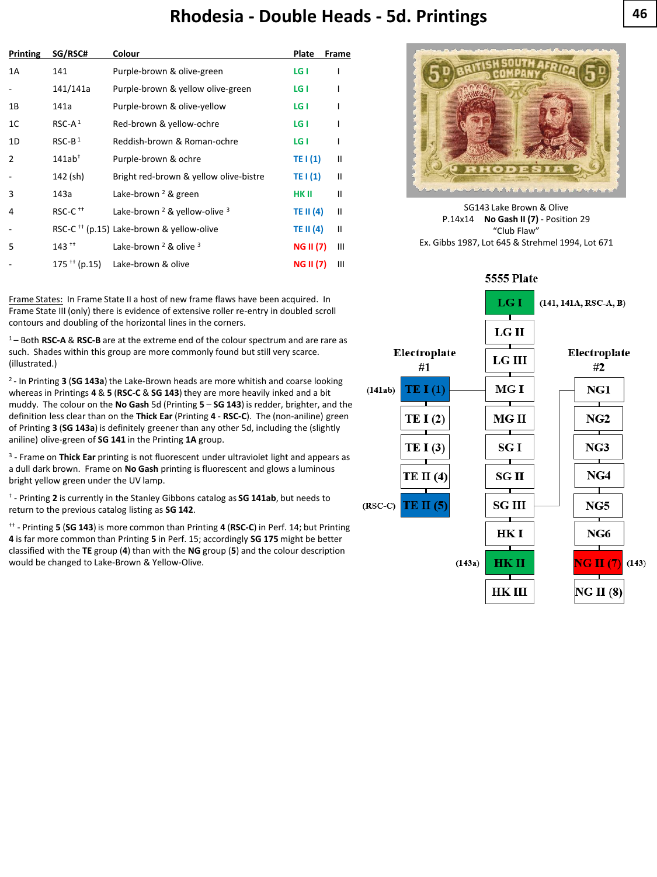## **Rhodesia 46 - Double Heads - 5d. Printings**

| <b>Printing</b> | SG/RSC#                    | Colour                                               | Plate            | Frame |
|-----------------|----------------------------|------------------------------------------------------|------------------|-------|
| 1A              | 141                        | Purple-brown & olive-green                           | LG I             |       |
|                 | 141/141a                   | Purple-brown & yellow olive-green                    | LG I             |       |
| 1B              | 141a                       | Purple-brown & olive-yellow                          | LG I             |       |
| 1C              | $RSC-A1$                   | Red-brown & yellow-ochre                             | LG I             |       |
| 1D              | $RSC-B1$                   | Reddish-brown & Roman-ochre                          | LG I             |       |
| $\overline{2}$  | $141ab^+$                  | Purple-brown & ochre                                 | TE I (1)         | Ш     |
|                 | 142 (sh)                   | Bright red-brown & yellow olive-bistre               | TE $(1)$         | Ш     |
| 3               | 143a                       | Lake-brown <sup>2</sup> & green                      | HK II            | Ш     |
| 4               | RSC-C <sup>++</sup>        | Lake-brown $2$ & yellow-olive $3$                    | TE II (4)        | Ш     |
|                 |                            | RSC-C <sup>++</sup> (p.15) Lake-brown & yellow-olive | TE II (4)        | Ш     |
| 5               | $143$ <sup>++</sup>        | Lake-brown $2$ & olive $3$                           | <b>NG II (7)</b> | Ш     |
|                 | $175$ <sup>++</sup> (p.15) | Lake-brown & olive                                   | <b>NG II (7)</b> | Ш     |

Frame States: In Frame State II a host of new frame flaws have been acquired. In Frame State III (only) there is evidence of extensive roller re-entry in doubled scroll contours and doubling of the horizontal lines in the corners.

<sup>1</sup>– Both **RSC-A** & **RSC-B** are at the extreme end of the colour spectrum and are rare as such. Shades within this group are more commonly found but still very scarce. (illustrated.)

2 - In Printing **3** (**SG 143a**) the Lake-Brown heads are more whitish and coarse looking whereas in Printings **4** & **5** (**RSC-C** & **SG 143**) they are more heavily inked and a bit muddy. The colour on the **No Gash** 5d (Printing **5** – **SG 143**) is redder, brighter, and the definition less clear than on the **Thick Ear** (Printing **4** - **RSC-C**). The (non-aniline) green of Printing **3** (**SG 143a**) is definitely greener than any other 5d, including the (slightly aniline) olive-green of **SG 141** in the Printing **1A** group.

3 - Frame on **Thick Ear** printing is not fluorescent under ultraviolet light and appears as a dull dark brown. Frame on **No Gash** printing is fluorescent and glows a luminous bright yellow green under the UV lamp.

† - Printing **2** is currently in the Stanley Gibbons catalog as **SG 141ab**, but needs to return to the previous catalog listing as **SG 142**.

†† - Printing **5** (**SG 143**) is more common than Printing **4** (**RSC-C**) in Perf. 14; but Printing **4** is far more common than Printing **5** in Perf. 15; accordingly **SG 175** might be better classified with the **TE** group (**4**) than with the **NG** group (**5**) and the colour description would be changed to Lake-Brown & Yellow-Olive.



SG143 Lake Brown & Olive P.14x14 **No Gash II (7)** - Position 29 "Club Flaw" Ex. Gibbs 1987, Lot 645 & Strehmel 1994, Lot 671

## **5555 Plate**